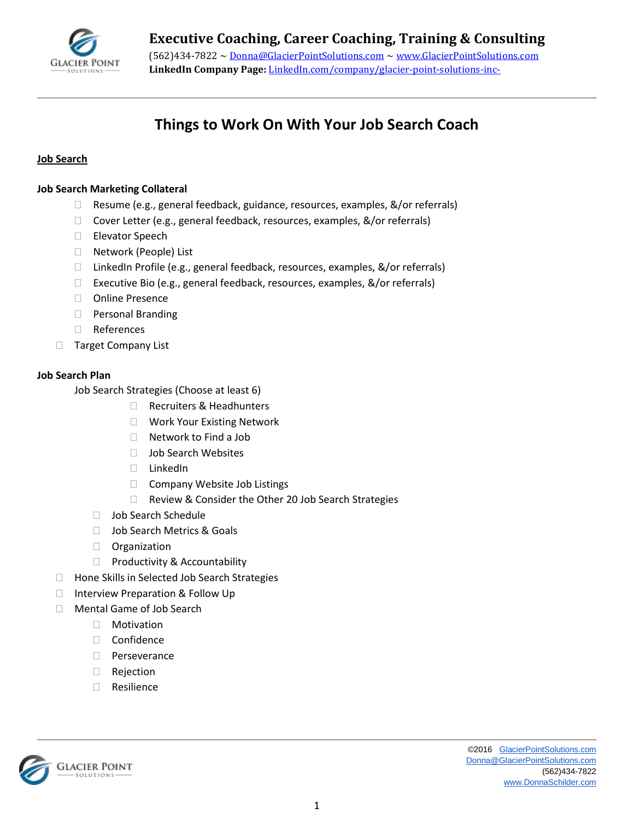

# **Things to Work On With Your Job Search Coach**

### **Job Search**

#### **Job Search Marketing Collateral**

- Resume (e.g., general feedback, guidance, resources, examples, &/or referrals)
- □ Cover Letter (e.g., general feedback, resources, examples, &/or referrals)
- □ Elevator Speech
- □ Network (People) List
- □ LinkedIn Profile (e.g., general feedback, resources, examples, &/or referrals)
- □ Executive Bio (e.g., general feedback, resources, examples, &/or referrals)
- □ Online Presence
- **Personal Branding**
- References
- □ Target Company List

## **Job Search Plan**

Job Search Strategies (Choose at least 6)

- Recruiters & Headhunters
- □ Work Your Existing Network
- □ Network to Find a Job
- □ Job Search Websites
- LinkedIn
- □ Company Website Job Listings
- □ Review & Consider the Other 20 Job Search Strategies
- □ Job Search Schedule
- □ Job Search Metrics & Goals
- **D** Organization
- $\Box$  Productivity & Accountability
- □ Hone Skills in Selected Job Search Strategies
- □ Interview Preparation & Follow Up
- □ Mental Game of Job Search
	- Motivation
	- □ Confidence
	- D Perseverance
	- Rejection
	- □ Resilience

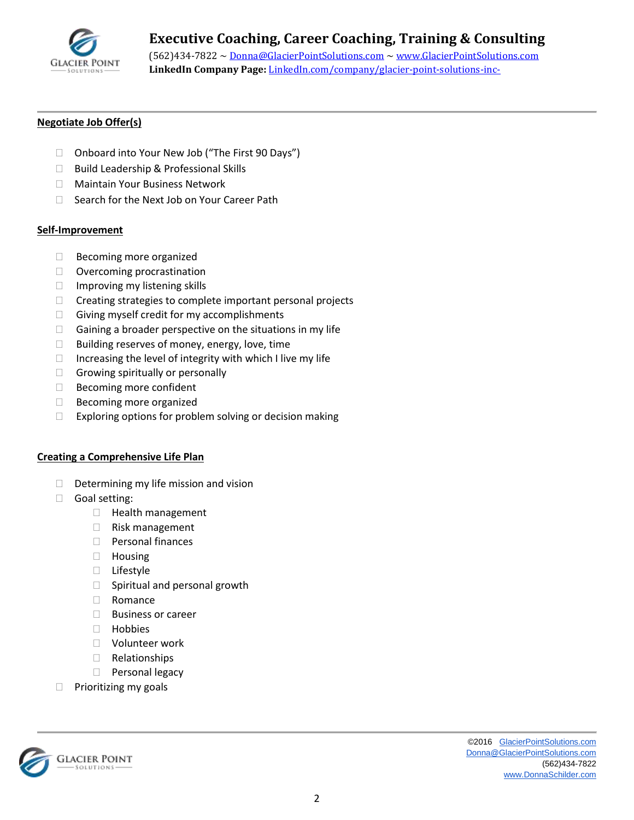

## **Executive Coaching, Career Coaching, Training & Consulting**

(562)434-7822 ~ [Donna@GlacierPointSolutions.com](mailto:Donna@GlacierPointSolutions.com) ~ [www.GlacierPointSolutions.com](http://www.glacierpointsolutions.com/) **LinkedIn Company Page:** LinkedIn.com/company/glacier-point-solutions-inc-

## **Negotiate Job Offer(s)**

- □ Onboard into Your New Job ("The First 90 Days")
- □ Build Leadership & Professional Skills
- □ Maintain Your Business Network
- □ Search for the Next Job on Your Career Path

#### **Self-Improvement**

- $\Box$  Becoming more organized
- □ Overcoming procrastination
- $\Box$  Improving my listening skills
- $\Box$  Creating strategies to complete important personal projects
- $\Box$  Giving myself credit for my accomplishments
- $\Box$  Gaining a broader perspective on the situations in my life
- $\Box$  Building reserves of money, energy, love, time
- $\Box$  Increasing the level of integrity with which I live my life
- $\Box$  Growing spiritually or personally
- □ Becoming more confident
- $\Box$  Becoming more organized
- $\Box$  Exploring options for problem solving or decision making

#### **Creating a Comprehensive Life Plan**

- $\Box$  Determining my life mission and vision
- Goal setting:
	- □ Health management
	- $\Box$  Risk management
	- **Personal finances**
	- Housing
	- □ Lifestyle
	- $\Box$  Spiritual and personal growth
	- □ Romance
	- □ Business or career
	- Hobbies
	- Volunteer work
	- Relationships
	- **Personal legacy**
- $\Box$  Prioritizing my goals